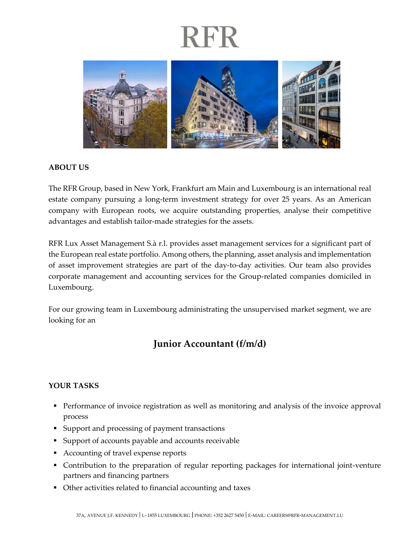## RFR



#### **ABOUT US**

The RFR Group, based in New York, Frankfurt am Main and Luxembourg is an international real estate company pursuing a long-term investment strategy for over 25 years. As an American company with European roots, we acquire outstanding properties, analyse their competitive advantages and establish tailor-made strategies for the assets.

RFR Lux Asset Management S.à r.l. provides asset management services for a significant part of the European real estate portfolio. Among others, the planning, asset analysis and implementation of asset improvement strategies are part of the day-to-day activities. Our team also provides corporate management and accounting services for the Group-related companies domiciled in Luxembourg.

For our growing team in Luxembourg administrating the unsupervised market segment, we are looking for an

### **Junior Accountant (f/m/d)**

#### **YOUR TASKS**

- **•** Performance of invoice registration as well as monitoring and analysis of the invoice approval process
- Support and processing of payment transactions
- Support of accounts payable and accounts receivable
- Accounting of travel expense reports
- Contribution to the preparation of regular reporting packages for international joint-venture partners and financing partners
- Other activities related to financial accounting and taxes